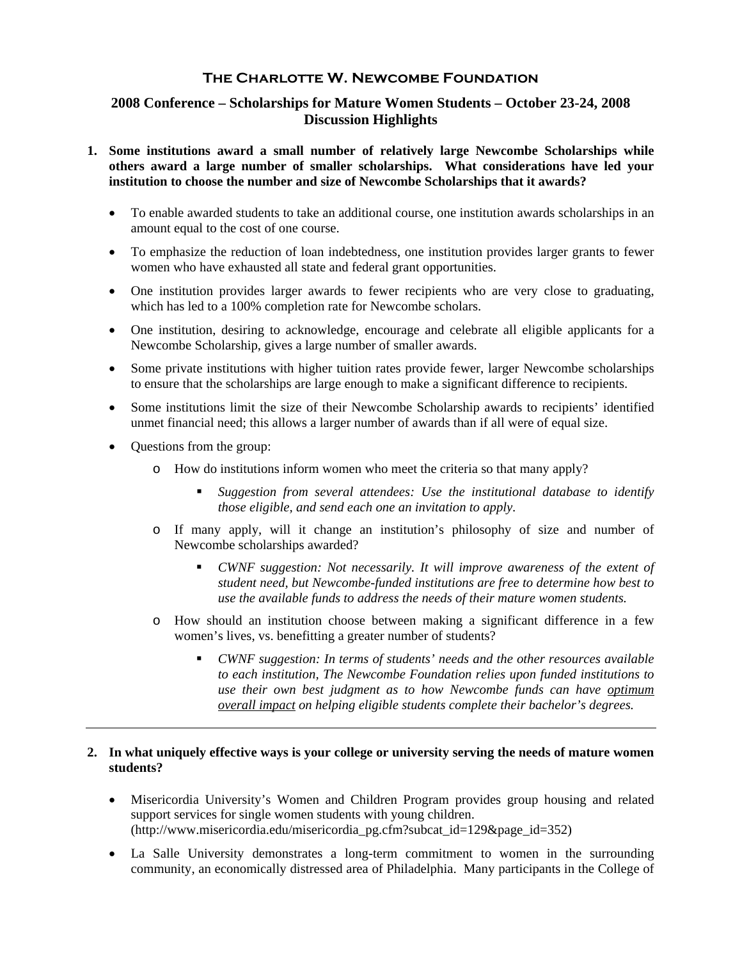# **The Charlotte W. Newcombe Foundation**

# **2008 Conference – Scholarships for Mature Women Students – October 23-24, 2008 Discussion Highlights**

- **1. Some institutions award a small number of relatively large Newcombe Scholarships while others award a large number of smaller scholarships. What considerations have led your institution to choose the number and size of Newcombe Scholarships that it awards?** 
	- To enable awarded students to take an additional course, one institution awards scholarships in an amount equal to the cost of one course.
	- To emphasize the reduction of loan indebtedness, one institution provides larger grants to fewer women who have exhausted all state and federal grant opportunities.
	- One institution provides larger awards to fewer recipients who are very close to graduating, which has led to a 100% completion rate for Newcombe scholars.
	- One institution, desiring to acknowledge, encourage and celebrate all eligible applicants for a Newcombe Scholarship, gives a large number of smaller awards.
	- Some private institutions with higher tuition rates provide fewer, larger Newcombe scholarships to ensure that the scholarships are large enough to make a significant difference to recipients.
	- Some institutions limit the size of their Newcombe Scholarship awards to recipients' identified unmet financial need; this allows a larger number of awards than if all were of equal size.
	- Questions from the group:
		- o How do institutions inform women who meet the criteria so that many apply?
			- *Suggestion from several attendees: Use the institutional database to identify those eligible, and send each one an invitation to apply.*
		- o If many apply, will it change an institution's philosophy of size and number of Newcombe scholarships awarded?
			- *CWNF suggestion: Not necessarily. It will improve awareness of the extent of student need, but Newcombe-funded institutions are free to determine how best to use the available funds to address the needs of their mature women students.*
		- o How should an institution choose between making a significant difference in a few women's lives, vs. benefitting a greater number of students?
			- *CWNF suggestion: In terms of students' needs and the other resources available to each institution, The Newcombe Foundation relies upon funded institutions to use their own best judgment as to how Newcombe funds can have optimum overall impact on helping eligible students complete their bachelor's degrees.*

## **2. In what uniquely effective ways is your college or university serving the needs of mature women students?**

- Misericordia University's Women and Children Program provides group housing and related support services for single women students with young children. (http://www.misericordia.edu/misericordia\_pg.cfm?subcat\_id=129&page\_id=352)
- La Salle University demonstrates a long-term commitment to women in the surrounding community, an economically distressed area of Philadelphia. Many participants in the College of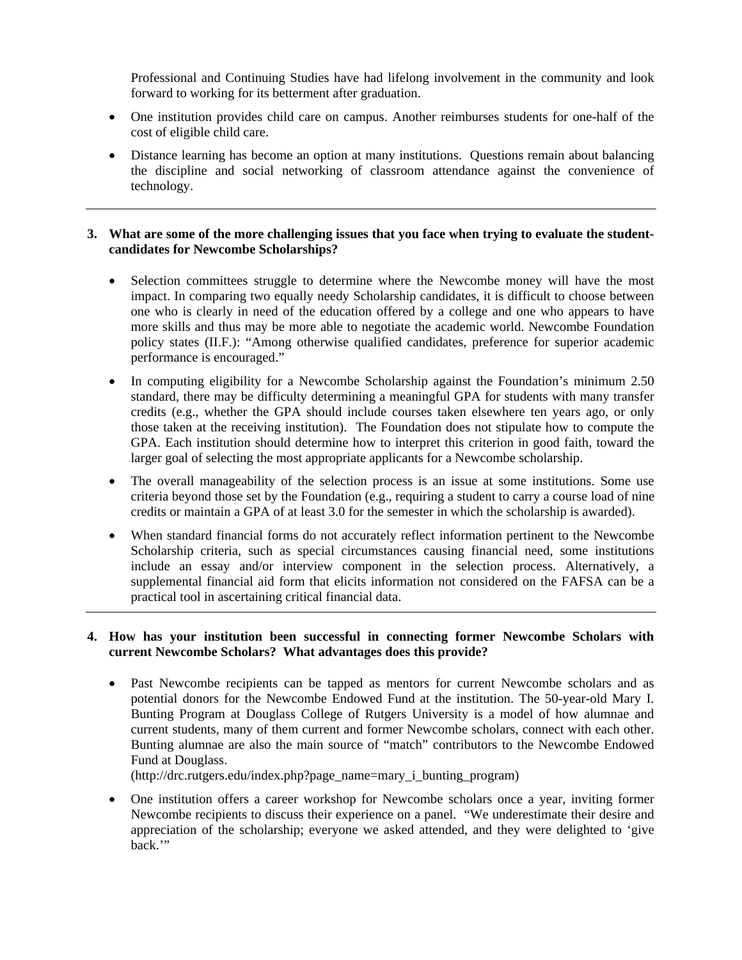Professional and Continuing Studies have had lifelong involvement in the community and look forward to working for its betterment after graduation.

- One institution provides child care on campus. Another reimburses students for one-half of the cost of eligible child care.
- Distance learning has become an option at many institutions. Questions remain about balancing the discipline and social networking of classroom attendance against the convenience of technology.

#### **3. What are some of the more challenging issues that you face when trying to evaluate the studentcandidates for Newcombe Scholarships?**

- Selection committees struggle to determine where the Newcombe money will have the most impact. In comparing two equally needy Scholarship candidates, it is difficult to choose between one who is clearly in need of the education offered by a college and one who appears to have more skills and thus may be more able to negotiate the academic world. Newcombe Foundation policy states (II.F.): "Among otherwise qualified candidates, preference for superior academic performance is encouraged."
- In computing eligibility for a Newcombe Scholarship against the Foundation's minimum 2.50 standard, there may be difficulty determining a meaningful GPA for students with many transfer credits (e.g., whether the GPA should include courses taken elsewhere ten years ago, or only those taken at the receiving institution). The Foundation does not stipulate how to compute the GPA. Each institution should determine how to interpret this criterion in good faith, toward the larger goal of selecting the most appropriate applicants for a Newcombe scholarship.
- The overall manageability of the selection process is an issue at some institutions. Some use criteria beyond those set by the Foundation (e.g., requiring a student to carry a course load of nine credits or maintain a GPA of at least 3.0 for the semester in which the scholarship is awarded).
- When standard financial forms do not accurately reflect information pertinent to the Newcombe Scholarship criteria, such as special circumstances causing financial need, some institutions include an essay and/or interview component in the selection process. Alternatively, a supplemental financial aid form that elicits information not considered on the FAFSA can be a practical tool in ascertaining critical financial data.

#### **4. How has your institution been successful in connecting former Newcombe Scholars with current Newcombe Scholars? What advantages does this provide?**

• Past Newcombe recipients can be tapped as mentors for current Newcombe scholars and as potential donors for the Newcombe Endowed Fund at the institution. The 50-year-old Mary I. Bunting Program at Douglass College of Rutgers University is a model of how alumnae and current students, many of them current and former Newcombe scholars, connect with each other. Bunting alumnae are also the main source of "match" contributors to the Newcombe Endowed Fund at Douglass.

(http://drc.rutgers.edu/index.php?page\_name=mary\_i\_bunting\_program)

 One institution offers a career workshop for Newcombe scholars once a year, inviting former Newcombe recipients to discuss their experience on a panel. "We underestimate their desire and appreciation of the scholarship; everyone we asked attended, and they were delighted to 'give back.'"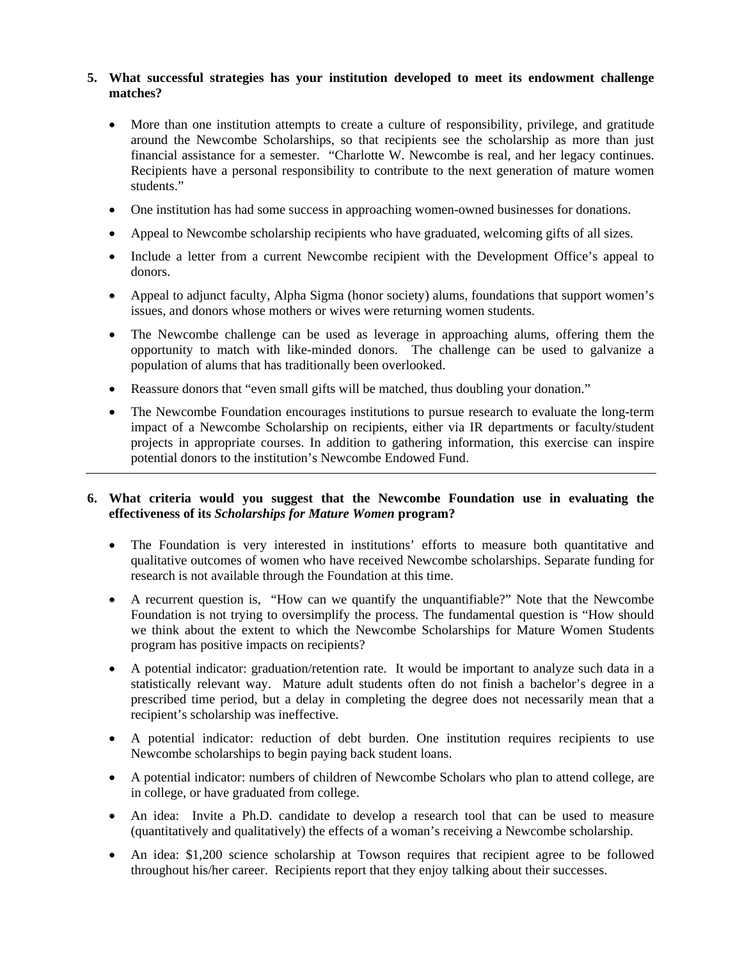## **5. What successful strategies has your institution developed to meet its endowment challenge matches?**

- More than one institution attempts to create a culture of responsibility, privilege, and gratitude around the Newcombe Scholarships, so that recipients see the scholarship as more than just financial assistance for a semester. "Charlotte W. Newcombe is real, and her legacy continues. Recipients have a personal responsibility to contribute to the next generation of mature women students."
- One institution has had some success in approaching women-owned businesses for donations.
- Appeal to Newcombe scholarship recipients who have graduated, welcoming gifts of all sizes.
- Include a letter from a current Newcombe recipient with the Development Office's appeal to donors.
- Appeal to adjunct faculty, Alpha Sigma (honor society) alums, foundations that support women's issues, and donors whose mothers or wives were returning women students.
- The Newcombe challenge can be used as leverage in approaching alums, offering them the opportunity to match with like-minded donors. The challenge can be used to galvanize a population of alums that has traditionally been overlooked.
- Reassure donors that "even small gifts will be matched, thus doubling your donation."
- The Newcombe Foundation encourages institutions to pursue research to evaluate the long-term impact of a Newcombe Scholarship on recipients, either via IR departments or faculty/student projects in appropriate courses. In addition to gathering information, this exercise can inspire potential donors to the institution's Newcombe Endowed Fund.

#### **6. What criteria would you suggest that the Newcombe Foundation use in evaluating the effectiveness of its** *Scholarships for Mature Women* **program?**

- The Foundation is very interested in institutions' efforts to measure both quantitative and qualitative outcomes of women who have received Newcombe scholarships. Separate funding for research is not available through the Foundation at this time.
- A recurrent question is, "How can we quantify the unquantifiable?" Note that the Newcombe Foundation is not trying to oversimplify the process. The fundamental question is "How should we think about the extent to which the Newcombe Scholarships for Mature Women Students program has positive impacts on recipients?
- A potential indicator: graduation/retention rate. It would be important to analyze such data in a statistically relevant way. Mature adult students often do not finish a bachelor's degree in a prescribed time period, but a delay in completing the degree does not necessarily mean that a recipient's scholarship was ineffective.
- A potential indicator: reduction of debt burden. One institution requires recipients to use Newcombe scholarships to begin paying back student loans.
- A potential indicator: numbers of children of Newcombe Scholars who plan to attend college, are in college, or have graduated from college.
- An idea: Invite a Ph.D. candidate to develop a research tool that can be used to measure (quantitatively and qualitatively) the effects of a woman's receiving a Newcombe scholarship.
- An idea: \$1,200 science scholarship at Towson requires that recipient agree to be followed throughout his/her career. Recipients report that they enjoy talking about their successes.